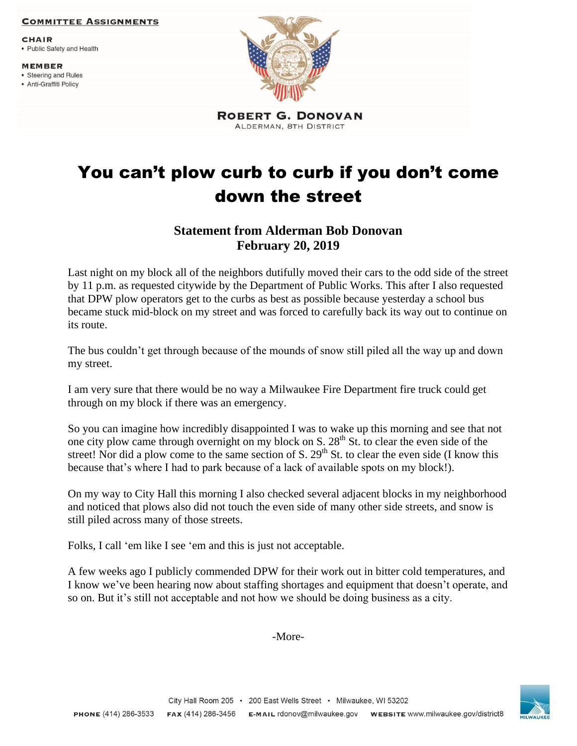## **COMMITTEE ASSIGNMENTS**

**CHAIR** 

- Public Safety and Health
- **MEMBER**
- Steering and Rules
- Anti-Graffiti Policy



**ROBERT G. DONOVAN** ALDERMAN, 8TH DISTRICT

## You can't plow curb to curb if you don't come down the street

## **Statement from Alderman Bob Donovan February 20, 2019**

Last night on my block all of the neighbors dutifully moved their cars to the odd side of the street by 11 p.m. as requested citywide by the Department of Public Works. This after I also requested that DPW plow operators get to the curbs as best as possible because yesterday a school bus became stuck mid-block on my street and was forced to carefully back its way out to continue on its route.

The bus couldn't get through because of the mounds of snow still piled all the way up and down my street.

I am very sure that there would be no way a Milwaukee Fire Department fire truck could get through on my block if there was an emergency.

So you can imagine how incredibly disappointed I was to wake up this morning and see that not one city plow came through overnight on my block on S.  $28<sup>th</sup>$  St. to clear the even side of the street! Nor did a plow come to the same section of S.  $29<sup>th</sup>$  St. to clear the even side (I know this because that's where I had to park because of a lack of available spots on my block!).

On my way to City Hall this morning I also checked several adjacent blocks in my neighborhood and noticed that plows also did not touch the even side of many other side streets, and snow is still piled across many of those streets.

Folks, I call 'em like I see 'em and this is just not acceptable.

A few weeks ago I publicly commended DPW for their work out in bitter cold temperatures, and I know we've been hearing now about staffing shortages and equipment that doesn't operate, and so on. But it's still not acceptable and not how we should be doing business as a city.

-More-